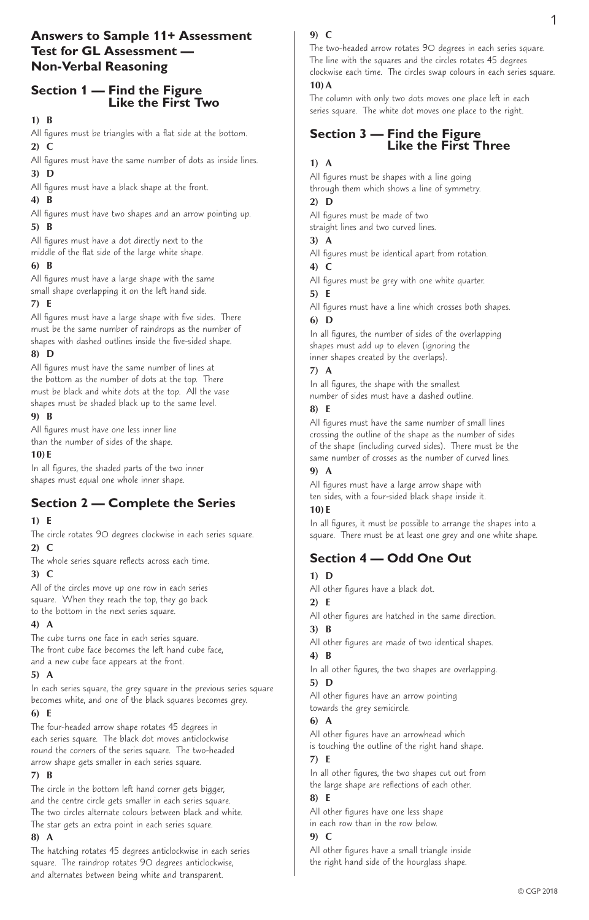# **Answers to Sample 11+ Assessment Test for GL Assessment — Non-Verbal Reasoning**

# **Section 1 — Find the Figure Like the First Two**

#### **1) B**

All figures must be triangles with a flat side at the bottom. **2) C** 

All figures must have the same number of dots as inside lines. **3) D** 

All figures must have a black shape at the front.

## **4) B**

All figures must have two shapes and an arrow pointing up. **5) B**

All figures must have a dot directly next to the middle of the flat side of the large white shape.

## **6) B**

All figures must have a large shape with the same small shape overlapping it on the left hand side.

## **7) E**

All figures must have a large shape with five sides. There must be the same number of raindrops as the number of shapes with dashed outlines inside the five-sided shape.

# **8) D**

All figures must have the same number of lines at the bottom as the number of dots at the top. There must be black and white dots at the top. All the vase shapes must be shaded black up to the same level.

## **9) B**

All figures must have one less inner line than the number of sides of the shape.

## **10) E**

In all figures, the shaded parts of the two inner shapes must equal one whole inner shape.

# **Section 2 — Complete the Series**

## **1) E**

The circle rotates 90 degrees clockwise in each series square. **2) C**

The whole series square reflects across each time.

## **3) C**

All of the circles move up one row in each series square. When they reach the top, they go back to the bottom in the next series square.

# **4) A**

The cube turns one face in each series square. The front cube face becomes the left hand cube face, and a new cube face appears at the front.

## **5) A**

In each series square, the grey square in the previous series square becomes white, and one of the black squares becomes grey.

## **6) E**

The four-headed arrow shape rotates 45 degrees in each series square. The black dot moves anticlockwise round the corners of the series square. The two-headed arrow shape gets smaller in each series square.

## **7) B**

The circle in the bottom left hand corner gets bigger, and the centre circle gets smaller in each series square. The two circles alternate colours between black and white. The star gets an extra point in each series square.

## **8) A**

The hatching rotates 45 degrees anticlockwise in each series square. The raindrop rotates 90 degrees anticlockwise, and alternates between being white and transparent.

## **9) C**

The two-headed arrow rotates 90 degrees in each series square. The line with the squares and the circles rotates 45 degrees clockwise each time. The circles swap colours in each series square.

## **10)A**

The column with only two dots moves one place left in each series square. The white dot moves one place to the right.

# **Section 3 — Find the Figure Like the First Three**

## **1) A**

All figures must be shapes with a line going through them which shows a line of symmetry.

## **2) D**

All figures must be made of two straight lines and two curved lines.

## **3) A**

All figures must be identical apart from rotation.

# **4) C**

All figures must be grey with one white quarter. **5) E**

#### All figures must have a line which crosses both shapes. **6) D**

In all figures, the number of sides of the overlapping shapes must add up to eleven (ignoring the inner shapes created by the overlaps).

## **7) A**

In all figures, the shape with the smallest number of sides must have a dashed outline.

## **8) E**

All figures must have the same number of small lines crossing the outline of the shape as the number of sides of the shape (including curved sides). There must be the same number of crosses as the number of curved lines.

## **9) A**

All figures must have a large arrow shape with ten sides, with a four-sided black shape inside it.

## **10) E**

In all figures, it must be possible to arrange the shapes into a square. There must be at least one grey and one white shape.

# **Section 4 — Odd One Out**

# **1) D**

All other figures have a black dot.

## **2) E**

All other figures are hatched in the same direction. **3) B** 

All other figures are made of two identical shapes. **4) B**

In all other figures, the two shapes are overlapping. **5) D**

All other figures have an arrow pointing towards the grey semicircle.

# **6) A**

All other figures have an arrowhead which is touching the outline of the right hand shape.

## **7) E**

In all other figures, the two shapes cut out from the large shape are reflections of each other.

# **8) E**

All other figures have one less shape in each row than in the row below.

## **9) C**

All other figures have a small triangle inside the right hand side of the hourglass shape.